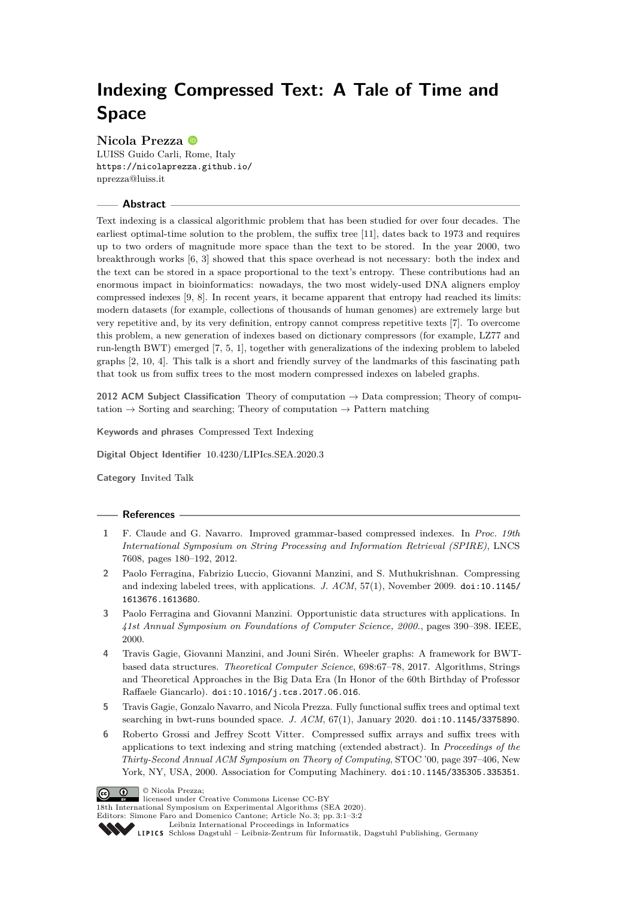# **Indexing Compressed Text: A Tale of Time and Space**

## **Nicola Prezza**

LUISS Guido Carli, Rome, Italy <https://nicolaprezza.github.io/> [nprezza@luiss.it](mailto:nprezza@luiss.it)

#### **Abstract**

Text indexing is a classical algorithmic problem that has been studied for over four decades. The earliest optimal-time solution to the problem, the suffix tree [\[11\]](#page-1-0), dates back to 1973 and requires up to two orders of magnitude more space than the text to be stored. In the year 2000, two breakthrough works [\[6,](#page-0-0) [3\]](#page-0-1) showed that this space overhead is not necessary: both the index and the text can be stored in a space proportional to the text's entropy. These contributions had an enormous impact in bioinformatics: nowadays, the two most widely-used DNA aligners employ compressed indexes [\[9,](#page-1-1) [8\]](#page-1-2). In recent years, it became apparent that entropy had reached its limits: modern datasets (for example, collections of thousands of human genomes) are extremely large but very repetitive and, by its very definition, entropy cannot compress repetitive texts [\[7\]](#page-1-3). To overcome this problem, a new generation of indexes based on dictionary compressors (for example, LZ77 and run-length BWT) emerged [\[7,](#page-1-3) [5,](#page-0-2) [1\]](#page-0-3), together with generalizations of the indexing problem to labeled graphs [\[2,](#page-0-4) [10,](#page-1-4) [4\]](#page-0-5). This talk is a short and friendly survey of the landmarks of this fascinating path that took us from suffix trees to the most modern compressed indexes on labeled graphs.

**2012 ACM Subject Classification** Theory of computation → Data compression; Theory of computation  $\rightarrow$  Sorting and searching; Theory of computation  $\rightarrow$  Pattern matching

**Keywords and phrases** Compressed Text Indexing

**Digital Object Identifier** [10.4230/LIPIcs.SEA.2020.3](https://doi.org/10.4230/LIPIcs.SEA.2020.3)

**Category** Invited Talk

#### **References**

- <span id="page-0-3"></span>**1** F. Claude and G. Navarro. Improved grammar-based compressed indexes. In *Proc. 19th International Symposium on String Processing and Information Retrieval (SPIRE)*, LNCS 7608, pages 180–192, 2012.
- <span id="page-0-4"></span>**2** Paolo Ferragina, Fabrizio Luccio, Giovanni Manzini, and S. Muthukrishnan. Compressing and indexing labeled trees, with applications. *J. ACM*, 57(1), November 2009. [doi:10.1145/](https://doi.org/10.1145/1613676.1613680) [1613676.1613680](https://doi.org/10.1145/1613676.1613680).
- <span id="page-0-1"></span>**3** Paolo Ferragina and Giovanni Manzini. Opportunistic data structures with applications. In *41st Annual Symposium on Foundations of Computer Science, 2000.*, pages 390–398. IEEE, 2000.
- <span id="page-0-5"></span>**4** Travis Gagie, Giovanni Manzini, and Jouni Sirén. Wheeler graphs: A framework for BWTbased data structures. *Theoretical Computer Science*, 698:67–78, 2017. Algorithms, Strings and Theoretical Approaches in the Big Data Era (In Honor of the 60th Birthday of Professor Raffaele Giancarlo). [doi:10.1016/j.tcs.2017.06.016](https://doi.org/10.1016/j.tcs.2017.06.016).
- <span id="page-0-2"></span>**5** Travis Gagie, Gonzalo Navarro, and Nicola Prezza. Fully functional suffix trees and optimal text searching in bwt-runs bounded space. *J. ACM*, 67(1), January 2020. [doi:10.1145/3375890](https://doi.org/10.1145/3375890).
- <span id="page-0-0"></span>**6** Roberto Grossi and Jeffrey Scott Vitter. Compressed suffix arrays and suffix trees with applications to text indexing and string matching (extended abstract). In *Proceedings of the Thirty-Second Annual ACM Symposium on Theory of Computing*, STOC '00, page 397–406, New York, NY, USA, 2000. Association for Computing Machinery. [doi:10.1145/335305.335351](https://doi.org/10.1145/335305.335351).



licensed under Creative Commons License CC-BY

18th International Symposium on Experimental Algorithms (SEA 2020).

Editors: Simone Faro and Domenico Cantone; Article No. 3; pp. 3:1–3[:2](#page-1-5)

[Leibniz International Proceedings in Informatics](https://www.dagstuhl.de/lipics/)